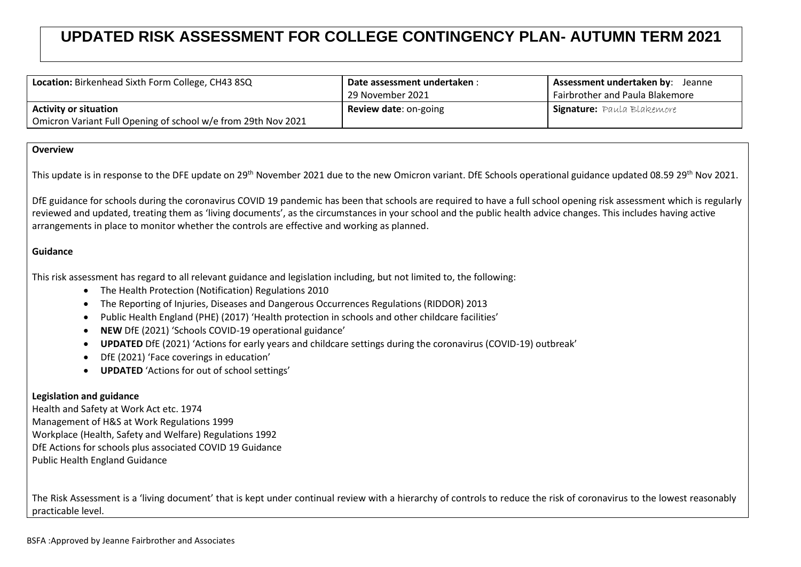## **UPDATED RISK ASSESSMENT FOR COLLEGE CONTINGENCY PLAN- AUTUMN TERM 2021**

| Location: Birkenhead Sixth Form College, CH43 8SQ             | Date assessment undertaken : | Assessment undertaken by: Jeanne  |
|---------------------------------------------------------------|------------------------------|-----------------------------------|
|                                                               | 29 November 2021             | Fairbrother and Paula Blakemore   |
| <b>Activity or situation</b>                                  | <b>Review date: on-going</b> | <b>Signature:</b> Paula Blakemore |
| Omicron Variant Full Opening of school w/e from 29th Nov 2021 |                              |                                   |

## **Overview**

This update is in response to the DFE update on 29<sup>th</sup> November 2021 due to the new Omicron variant. DfE Schools operational guidance updated 08.59 29<sup>th</sup> Nov 2021.

DfE guidance for schools during the coronavirus COVID 19 pandemic has been that schools are required to have a full school opening risk assessment which is regularly reviewed and updated, treating them as 'living documents', as the circumstances in your school and the public health advice changes. This includes having active arrangements in place to monitor whether the controls are effective and working as planned.

## **Guidance**

This risk assessment has regard to all relevant guidance and legislation including, but not limited to, the following:

- The Health Protection (Notification) Regulations 2010
- The Reporting of Injuries, Diseases and Dangerous Occurrences Regulations (RIDDOR) 2013
- Public Health England (PHE) (2017) 'Health protection in schools and other childcare facilities'
- **NEW** DfE (2021) 'Schools COVID-19 operational guidance'
- **UPDATED** DfE (2021) 'Actions for early years and childcare settings during the coronavirus (COVID-19) outbreak'
- DfE (2021) 'Face coverings in education'
- **UPDATED** 'Actions for out of school settings'

## **Legislation and guidance**

Health and Safety at Work Act etc. 1974 Management of H&S at Work Regulations 1999 Workplace (Health, Safety and Welfare) Regulations 1992 DfE Actions for schools plus associated COVID 19 Guidance Public Health England Guidance

The Risk Assessment is a 'living document' that is kept under continual review with a hierarchy of controls to reduce the risk of coronavirus to the lowest reasonably practicable level.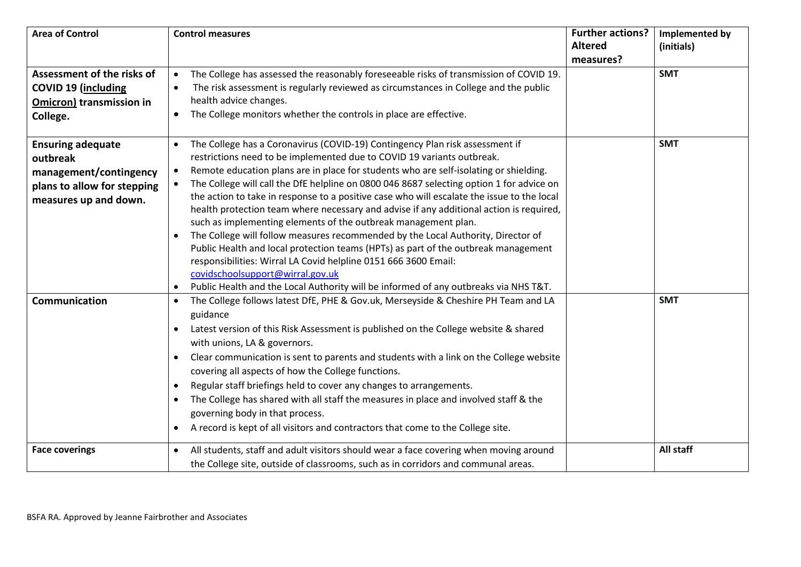| <b>Area of Control</b>          | <b>Control measures</b>                                                                             | <b>Further actions?</b> | Implemented by |
|---------------------------------|-----------------------------------------------------------------------------------------------------|-------------------------|----------------|
|                                 |                                                                                                     | <b>Altered</b>          | (initials)     |
|                                 |                                                                                                     | measures?               |                |
| Assessment of the risks of      | The College has assessed the reasonably foreseeable risks of transmission of COVID 19.<br>$\bullet$ |                         | <b>SMT</b>     |
| <b>COVID 19 (including</b>      | The risk assessment is regularly reviewed as circumstances in College and the public                |                         |                |
| <b>Omicron) transmission in</b> | health advice changes.                                                                              |                         |                |
| College.                        | The College monitors whether the controls in place are effective.                                   |                         |                |
|                                 |                                                                                                     |                         |                |
| <b>Ensuring adequate</b>        | The College has a Coronavirus (COVID-19) Contingency Plan risk assessment if                        |                         | <b>SMT</b>     |
| outbreak                        | restrictions need to be implemented due to COVID 19 variants outbreak.                              |                         |                |
| management/contingency          | Remote education plans are in place for students who are self-isolating or shielding.<br>$\bullet$  |                         |                |
| plans to allow for stepping     | The College will call the DfE helpline on 0800 046 8687 selecting option 1 for advice on            |                         |                |
| measures up and down.           | the action to take in response to a positive case who will escalate the issue to the local          |                         |                |
|                                 | health protection team where necessary and advise if any additional action is required,             |                         |                |
|                                 | such as implementing elements of the outbreak management plan.                                      |                         |                |
|                                 | The College will follow measures recommended by the Local Authority, Director of                    |                         |                |
|                                 | Public Health and local protection teams (HPTs) as part of the outbreak management                  |                         |                |
|                                 | responsibilities: Wirral LA Covid helpline 0151 666 3600 Email:<br>covidschoolsupport@wirral.gov.uk |                         |                |
|                                 |                                                                                                     |                         |                |
| Communication                   | Public Health and the Local Authority will be informed of any outbreaks via NHS T&T.<br>$\bullet$   |                         | <b>SMT</b>     |
|                                 | The College follows latest DfE, PHE & Gov.uk, Merseyside & Cheshire PH Team and LA<br>$\bullet$     |                         |                |
|                                 | guidance                                                                                            |                         |                |
|                                 | Latest version of this Risk Assessment is published on the College website & shared                 |                         |                |
|                                 | with unions, LA & governors.                                                                        |                         |                |
|                                 | Clear communication is sent to parents and students with a link on the College website<br>$\bullet$ |                         |                |
|                                 | covering all aspects of how the College functions.                                                  |                         |                |
|                                 | Regular staff briefings held to cover any changes to arrangements.<br>$\bullet$                     |                         |                |
|                                 | The College has shared with all staff the measures in place and involved staff & the                |                         |                |
|                                 | governing body in that process.                                                                     |                         |                |
|                                 | A record is kept of all visitors and contractors that come to the College site.<br>$\bullet$        |                         |                |
| <b>Face coverings</b>           | All students, staff and adult visitors should wear a face covering when moving around               |                         | All staff      |
|                                 | the College site, outside of classrooms, such as in corridors and communal areas.                   |                         |                |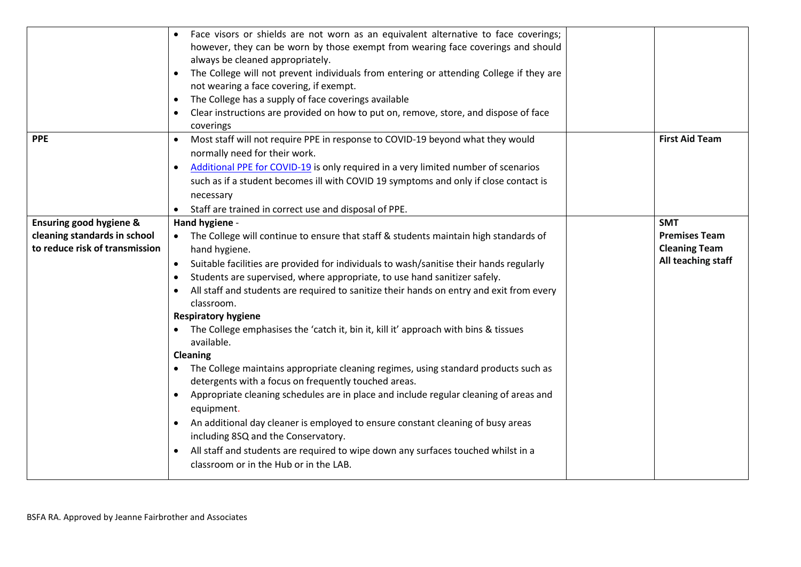|                                    | Face visors or shields are not worn as an equivalent alternative to face coverings;                |                       |
|------------------------------------|----------------------------------------------------------------------------------------------------|-----------------------|
|                                    | however, they can be worn by those exempt from wearing face coverings and should                   |                       |
|                                    | always be cleaned appropriately.                                                                   |                       |
|                                    | The College will not prevent individuals from entering or attending College if they are            |                       |
|                                    | not wearing a face covering, if exempt.                                                            |                       |
|                                    | The College has a supply of face coverings available                                               |                       |
|                                    | Clear instructions are provided on how to put on, remove, store, and dispose of face               |                       |
|                                    | coverings                                                                                          |                       |
| <b>PPE</b>                         | Most staff will not require PPE in response to COVID-19 beyond what they would<br>$\bullet$        | <b>First Aid Team</b> |
|                                    | normally need for their work.                                                                      |                       |
|                                    | Additional PPE for COVID-19 is only required in a very limited number of scenarios                 |                       |
|                                    | such as if a student becomes ill with COVID 19 symptoms and only if close contact is               |                       |
|                                    | necessary                                                                                          |                       |
|                                    | Staff are trained in correct use and disposal of PPE.                                              |                       |
| <b>Ensuring good hygiene &amp;</b> | Hand hygiene -                                                                                     | <b>SMT</b>            |
| cleaning standards in school       | The College will continue to ensure that staff & students maintain high standards of               | <b>Premises Team</b>  |
| to reduce risk of transmission     | hand hygiene.                                                                                      | <b>Cleaning Team</b>  |
|                                    | Suitable facilities are provided for individuals to wash/sanitise their hands regularly            | All teaching staff    |
|                                    | Students are supervised, where appropriate, to use hand sanitizer safely.                          |                       |
|                                    | All staff and students are required to sanitize their hands on entry and exit from every           |                       |
|                                    | classroom.                                                                                         |                       |
|                                    | <b>Respiratory hygiene</b>                                                                         |                       |
|                                    | The College emphasises the 'catch it, bin it, kill it' approach with bins & tissues                |                       |
|                                    | available.                                                                                         |                       |
|                                    | <b>Cleaning</b>                                                                                    |                       |
|                                    | The College maintains appropriate cleaning regimes, using standard products such as                |                       |
|                                    | detergents with a focus on frequently touched areas.                                               |                       |
|                                    | Appropriate cleaning schedules are in place and include regular cleaning of areas and<br>$\bullet$ |                       |
|                                    | equipment.                                                                                         |                       |
|                                    | An additional day cleaner is employed to ensure constant cleaning of busy areas                    |                       |
|                                    | including 8SQ and the Conservatory.                                                                |                       |
|                                    | All staff and students are required to wipe down any surfaces touched whilst in a                  |                       |
|                                    | classroom or in the Hub or in the LAB.                                                             |                       |
|                                    |                                                                                                    |                       |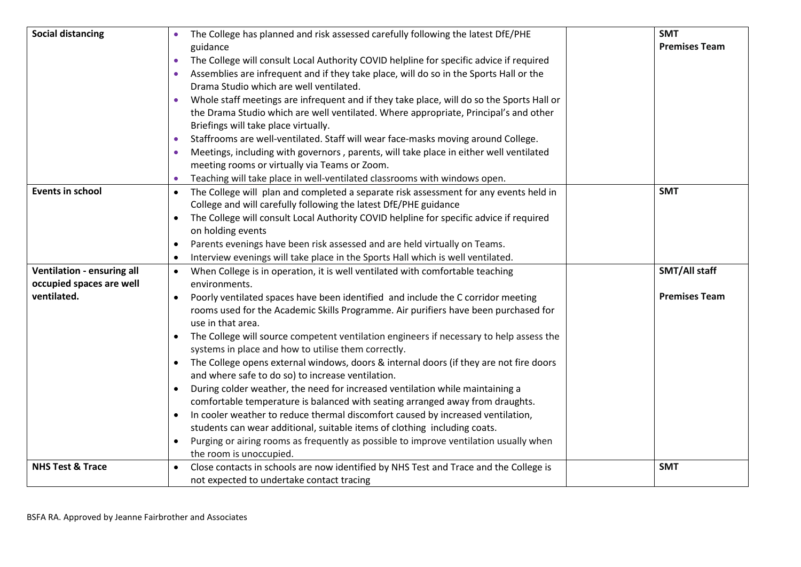| <b>Social distancing</b>    | The College has planned and risk assessed carefully following the latest DfE/PHE                     | <b>SMT</b>           |
|-----------------------------|------------------------------------------------------------------------------------------------------|----------------------|
|                             | guidance                                                                                             | <b>Premises Team</b> |
|                             | The College will consult Local Authority COVID helpline for specific advice if required<br>$\bullet$ |                      |
|                             | Assemblies are infrequent and if they take place, will do so in the Sports Hall or the               |                      |
|                             | Drama Studio which are well ventilated.                                                              |                      |
|                             | Whole staff meetings are infrequent and if they take place, will do so the Sports Hall or            |                      |
|                             | the Drama Studio which are well ventilated. Where appropriate, Principal's and other                 |                      |
|                             | Briefings will take place virtually.                                                                 |                      |
|                             | Staffrooms are well-ventilated. Staff will wear face-masks moving around College.<br>$\bullet$       |                      |
|                             | Meetings, including with governors, parents, will take place in either well ventilated               |                      |
|                             | meeting rooms or virtually via Teams or Zoom.                                                        |                      |
|                             | Teaching will take place in well-ventilated classrooms with windows open.                            |                      |
| <b>Events in school</b>     | The College will plan and completed a separate risk assessment for any events held in<br>$\bullet$   | <b>SMT</b>           |
|                             | College and will carefully following the latest DfE/PHE guidance                                     |                      |
|                             | The College will consult Local Authority COVID helpline for specific advice if required              |                      |
|                             | on holding events                                                                                    |                      |
|                             | Parents evenings have been risk assessed and are held virtually on Teams.<br>$\bullet$               |                      |
|                             | Interview evenings will take place in the Sports Hall which is well ventilated.                      |                      |
| Ventilation - ensuring all  | When College is in operation, it is well ventilated with comfortable teaching<br>$\bullet$           | <b>SMT/All staff</b> |
| occupied spaces are well    | environments.                                                                                        |                      |
| ventilated.                 | Poorly ventilated spaces have been identified and include the C corridor meeting                     | <b>Premises Team</b> |
|                             | rooms used for the Academic Skills Programme. Air purifiers have been purchased for                  |                      |
|                             | use in that area.                                                                                    |                      |
|                             | The College will source competent ventilation engineers if necessary to help assess the<br>$\bullet$ |                      |
|                             | systems in place and how to utilise them correctly.                                                  |                      |
|                             | The College opens external windows, doors & internal doors (if they are not fire doors<br>$\bullet$  |                      |
|                             | and where safe to do so) to increase ventilation.                                                    |                      |
|                             | During colder weather, the need for increased ventilation while maintaining a<br>$\bullet$           |                      |
|                             | comfortable temperature is balanced with seating arranged away from draughts.                        |                      |
|                             | In cooler weather to reduce thermal discomfort caused by increased ventilation,                      |                      |
|                             | students can wear additional, suitable items of clothing including coats.                            |                      |
|                             | Purging or airing rooms as frequently as possible to improve ventilation usually when                |                      |
|                             | the room is unoccupied.                                                                              |                      |
| <b>NHS Test &amp; Trace</b> | Close contacts in schools are now identified by NHS Test and Trace and the College is                | <b>SMT</b>           |
|                             | not expected to undertake contact tracing                                                            |                      |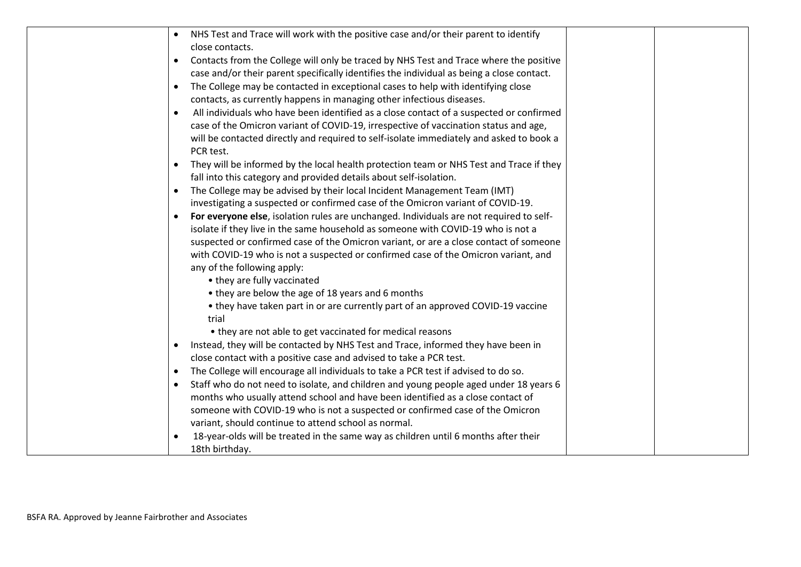| NHS Test and Trace will work with the positive case and/or their parent to identify<br>$\bullet$                                                                                      |  |
|---------------------------------------------------------------------------------------------------------------------------------------------------------------------------------------|--|
| close contacts.                                                                                                                                                                       |  |
| Contacts from the College will only be traced by NHS Test and Trace where the positive<br>$\bullet$                                                                                   |  |
| case and/or their parent specifically identifies the individual as being a close contact.                                                                                             |  |
| The College may be contacted in exceptional cases to help with identifying close<br>$\bullet$                                                                                         |  |
| contacts, as currently happens in managing other infectious diseases.                                                                                                                 |  |
| All individuals who have been identified as a close contact of a suspected or confirmed                                                                                               |  |
| case of the Omicron variant of COVID-19, irrespective of vaccination status and age,                                                                                                  |  |
| will be contacted directly and required to self-isolate immediately and asked to book a                                                                                               |  |
| PCR test.                                                                                                                                                                             |  |
| They will be informed by the local health protection team or NHS Test and Trace if they<br>$\bullet$                                                                                  |  |
| fall into this category and provided details about self-isolation.                                                                                                                    |  |
| The College may be advised by their local Incident Management Team (IMT)<br>$\bullet$                                                                                                 |  |
| investigating a suspected or confirmed case of the Omicron variant of COVID-19.                                                                                                       |  |
| For everyone else, isolation rules are unchanged. Individuals are not required to self-                                                                                               |  |
| isolate if they live in the same household as someone with COVID-19 who is not a                                                                                                      |  |
| suspected or confirmed case of the Omicron variant, or are a close contact of someone                                                                                                 |  |
| with COVID-19 who is not a suspected or confirmed case of the Omicron variant, and                                                                                                    |  |
| any of the following apply:                                                                                                                                                           |  |
| • they are fully vaccinated                                                                                                                                                           |  |
| • they are below the age of 18 years and 6 months                                                                                                                                     |  |
| • they have taken part in or are currently part of an approved COVID-19 vaccine                                                                                                       |  |
| trial                                                                                                                                                                                 |  |
| • they are not able to get vaccinated for medical reasons                                                                                                                             |  |
| Instead, they will be contacted by NHS Test and Trace, informed they have been in<br>$\bullet$                                                                                        |  |
| close contact with a positive case and advised to take a PCR test.                                                                                                                    |  |
| The College will encourage all individuals to take a PCR test if advised to do so.<br>$\bullet$                                                                                       |  |
| Staff who do not need to isolate, and children and young people aged under 18 years 6<br>$\bullet$<br>months who usually attend school and have been identified as a close contact of |  |
|                                                                                                                                                                                       |  |
| someone with COVID-19 who is not a suspected or confirmed case of the Omicron<br>variant, should continue to attend school as normal.                                                 |  |
| 18-year-olds will be treated in the same way as children until 6 months after their<br>$\bullet$                                                                                      |  |
| 18th birthday.                                                                                                                                                                        |  |
|                                                                                                                                                                                       |  |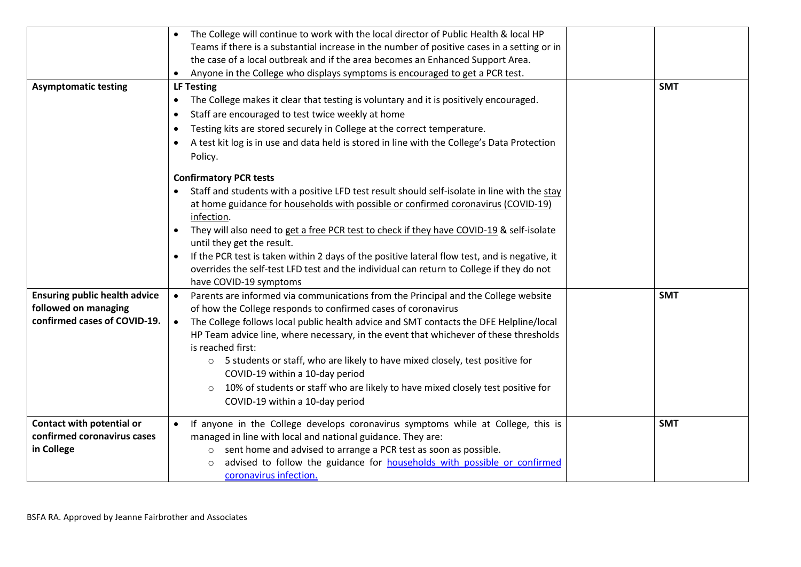| <b>Asymptomatic testing</b>                                                                  | The College will continue to work with the local director of Public Health & local HP<br>Teams if there is a substantial increase in the number of positive cases in a setting or in<br>the case of a local outbreak and if the area becomes an Enhanced Support Area.<br>Anyone in the College who displays symptoms is encouraged to get a PCR test.<br><b>LF Testing</b><br>The College makes it clear that testing is voluntary and it is positively encouraged.<br>$\bullet$<br>Staff are encouraged to test twice weekly at home<br>$\bullet$<br>Testing kits are stored securely in College at the correct temperature.<br>$\bullet$<br>A test kit log is in use and data held is stored in line with the College's Data Protection<br>Policy.<br><b>Confirmatory PCR tests</b> | <b>SMT</b> |
|----------------------------------------------------------------------------------------------|----------------------------------------------------------------------------------------------------------------------------------------------------------------------------------------------------------------------------------------------------------------------------------------------------------------------------------------------------------------------------------------------------------------------------------------------------------------------------------------------------------------------------------------------------------------------------------------------------------------------------------------------------------------------------------------------------------------------------------------------------------------------------------------|------------|
|                                                                                              | Staff and students with a positive LFD test result should self-isolate in line with the stay<br>at home guidance for households with possible or confirmed coronavirus (COVID-19)<br>infection.<br>They will also need to get a free PCR test to check if they have COVID-19 & self-isolate<br>$\bullet$<br>until they get the result.<br>If the PCR test is taken within 2 days of the positive lateral flow test, and is negative, it<br>$\bullet$<br>overrides the self-test LFD test and the individual can return to College if they do not<br>have COVID-19 symptoms                                                                                                                                                                                                             |            |
| <b>Ensuring public health advice</b><br>followed on managing<br>confirmed cases of COVID-19. | Parents are informed via communications from the Principal and the College website<br>of how the College responds to confirmed cases of coronavirus<br>The College follows local public health advice and SMT contacts the DFE Helpline/local<br>$\bullet$<br>HP Team advice line, where necessary, in the event that whichever of these thresholds<br>is reached first:<br>o 5 students or staff, who are likely to have mixed closely, test positive for<br>COVID-19 within a 10-day period<br>10% of students or staff who are likely to have mixed closely test positive for<br>$\circ$<br>COVID-19 within a 10-day period                                                                                                                                                         | <b>SMT</b> |
| Contact with potential or<br>confirmed coronavirus cases<br>in College                       | If anyone in the College develops coronavirus symptoms while at College, this is<br>managed in line with local and national guidance. They are:<br>o sent home and advised to arrange a PCR test as soon as possible.<br>advised to follow the guidance for households with possible or confirmed<br>$\circ$<br>coronavirus infection.                                                                                                                                                                                                                                                                                                                                                                                                                                                 | <b>SMT</b> |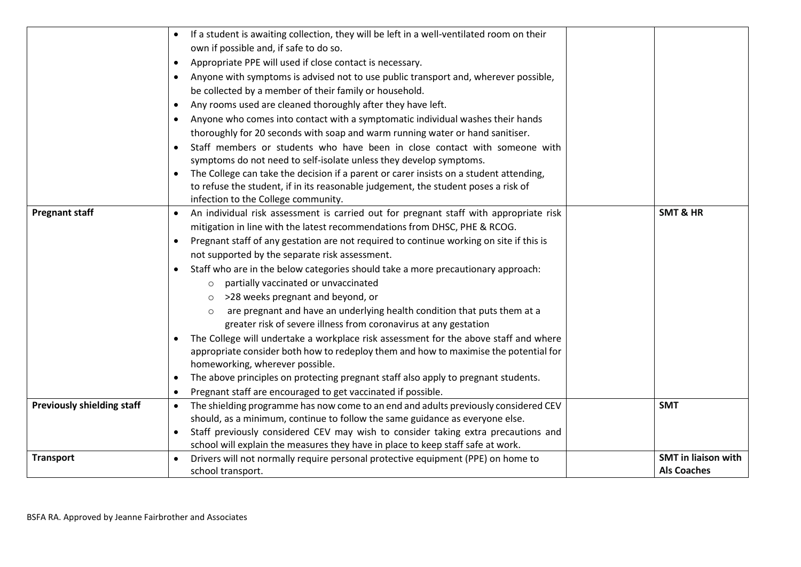|                                   | If a student is awaiting collection, they will be left in a well-ventilated room on their<br>own if possible and, if safe to do so.<br>Appropriate PPE will used if close contact is necessary.<br>Anyone with symptoms is advised not to use public transport and, wherever possible,<br>$\bullet$<br>be collected by a member of their family or household.<br>Any rooms used are cleaned thoroughly after they have left.<br>Anyone who comes into contact with a symptomatic individual washes their hands<br>thoroughly for 20 seconds with soap and warm running water or hand sanitiser.<br>Staff members or students who have been in close contact with someone with<br>symptoms do not need to self-isolate unless they develop symptoms.<br>The College can take the decision if a parent or carer insists on a student attending,<br>$\bullet$                                                                                                                                                                        |                                                  |
|-----------------------------------|-----------------------------------------------------------------------------------------------------------------------------------------------------------------------------------------------------------------------------------------------------------------------------------------------------------------------------------------------------------------------------------------------------------------------------------------------------------------------------------------------------------------------------------------------------------------------------------------------------------------------------------------------------------------------------------------------------------------------------------------------------------------------------------------------------------------------------------------------------------------------------------------------------------------------------------------------------------------------------------------------------------------------------------|--------------------------------------------------|
|                                   | to refuse the student, if in its reasonable judgement, the student poses a risk of<br>infection to the College community.                                                                                                                                                                                                                                                                                                                                                                                                                                                                                                                                                                                                                                                                                                                                                                                                                                                                                                         |                                                  |
| <b>Pregnant staff</b>             | An individual risk assessment is carried out for pregnant staff with appropriate risk<br>$\bullet$<br>mitigation in line with the latest recommendations from DHSC, PHE & RCOG.<br>Pregnant staff of any gestation are not required to continue working on site if this is<br>not supported by the separate risk assessment.<br>Staff who are in the below categories should take a more precautionary approach:<br>partially vaccinated or unvaccinated<br>$\circ$<br>>28 weeks pregnant and beyond, or<br>are pregnant and have an underlying health condition that puts them at a<br>greater risk of severe illness from coronavirus at any gestation<br>The College will undertake a workplace risk assessment for the above staff and where<br>appropriate consider both how to redeploy them and how to maximise the potential for<br>homeworking, wherever possible.<br>The above principles on protecting pregnant staff also apply to pregnant students.<br>Pregnant staff are encouraged to get vaccinated if possible. | <b>SMT &amp; HR</b>                              |
| <b>Previously shielding staff</b> | The shielding programme has now come to an end and adults previously considered CEV<br>$\bullet$<br>should, as a minimum, continue to follow the same guidance as everyone else.<br>Staff previously considered CEV may wish to consider taking extra precautions and<br>school will explain the measures they have in place to keep staff safe at work.                                                                                                                                                                                                                                                                                                                                                                                                                                                                                                                                                                                                                                                                          | <b>SMT</b>                                       |
| <b>Transport</b>                  | Drivers will not normally require personal protective equipment (PPE) on home to<br>school transport.                                                                                                                                                                                                                                                                                                                                                                                                                                                                                                                                                                                                                                                                                                                                                                                                                                                                                                                             | <b>SMT</b> in liaison with<br><b>Als Coaches</b> |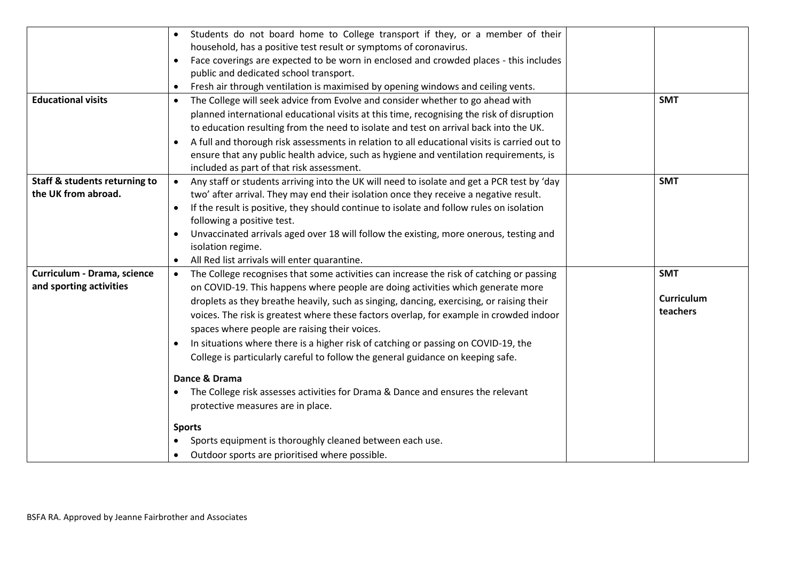|                                          | Students do not board home to College transport if they, or a member of their<br>household, has a positive test result or symptoms of coronavirus. |                   |
|------------------------------------------|----------------------------------------------------------------------------------------------------------------------------------------------------|-------------------|
|                                          |                                                                                                                                                    |                   |
|                                          | Face coverings are expected to be worn in enclosed and crowded places - this includes<br>public and dedicated school transport.                    |                   |
|                                          |                                                                                                                                                    |                   |
|                                          | Fresh air through ventilation is maximised by opening windows and ceiling vents.<br>$\bullet$                                                      |                   |
| <b>Educational visits</b>                | The College will seek advice from Evolve and consider whether to go ahead with<br>$\bullet$                                                        | <b>SMT</b>        |
|                                          | planned international educational visits at this time, recognising the risk of disruption                                                          |                   |
|                                          | to education resulting from the need to isolate and test on arrival back into the UK.                                                              |                   |
|                                          | A full and thorough risk assessments in relation to all educational visits is carried out to                                                       |                   |
|                                          | ensure that any public health advice, such as hygiene and ventilation requirements, is                                                             |                   |
|                                          | included as part of that risk assessment.                                                                                                          |                   |
| <b>Staff &amp; students returning to</b> | Any staff or students arriving into the UK will need to isolate and get a PCR test by 'day                                                         | <b>SMT</b>        |
| the UK from abroad.                      | two' after arrival. They may end their isolation once they receive a negative result.                                                              |                   |
|                                          | If the result is positive, they should continue to isolate and follow rules on isolation                                                           |                   |
|                                          | following a positive test.                                                                                                                         |                   |
|                                          | Unvaccinated arrivals aged over 18 will follow the existing, more onerous, testing and                                                             |                   |
|                                          | isolation regime.                                                                                                                                  |                   |
|                                          | All Red list arrivals will enter quarantine.                                                                                                       |                   |
| Curriculum - Drama, science              | The College recognises that some activities can increase the risk of catching or passing<br>$\bullet$                                              | <b>SMT</b>        |
| and sporting activities                  | on COVID-19. This happens where people are doing activities which generate more                                                                    |                   |
|                                          | droplets as they breathe heavily, such as singing, dancing, exercising, or raising their                                                           | <b>Curriculum</b> |
|                                          | voices. The risk is greatest where these factors overlap, for example in crowded indoor                                                            | teachers          |
|                                          |                                                                                                                                                    |                   |
|                                          | spaces where people are raising their voices.                                                                                                      |                   |
|                                          | In situations where there is a higher risk of catching or passing on COVID-19, the<br>$\bullet$                                                    |                   |
|                                          | College is particularly careful to follow the general guidance on keeping safe.                                                                    |                   |
|                                          | Dance & Drama                                                                                                                                      |                   |
|                                          | The College risk assesses activities for Drama & Dance and ensures the relevant                                                                    |                   |
|                                          | protective measures are in place.                                                                                                                  |                   |
|                                          | <b>Sports</b>                                                                                                                                      |                   |
|                                          | Sports equipment is thoroughly cleaned between each use.                                                                                           |                   |
|                                          | Outdoor sports are prioritised where possible.                                                                                                     |                   |